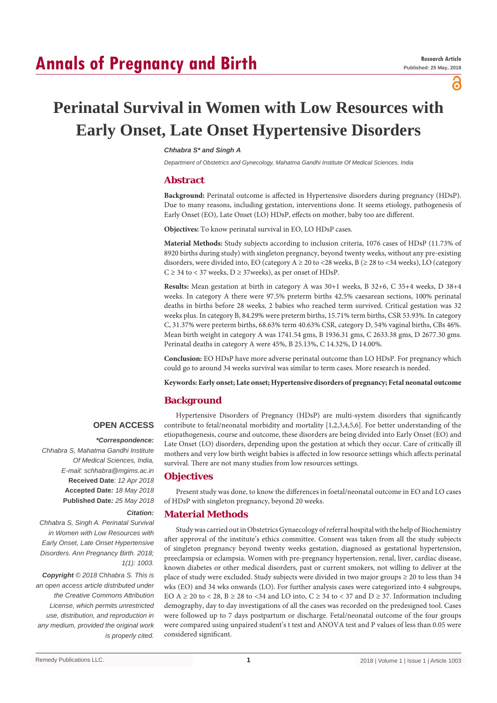## **Annals of Pregnancy and Birth**

പ്പ

# **Perinatal Survival in Women with Low Resources with Early Onset, Late Onset Hypertensive Disorders**

### *Chhabra S\* and Singh A*

*Department of Obstetrics and Gynecology, Mahatma Gandhi Institute Of Medical Sciences, India*

## **Abstract**

**Background:** Perinatal outcome is affected in Hypertensive disorders during pregnancy (HDsP). Due to many reasons, including gestation, interventions done. It seems etiology, pathogenesis of Early Onset (EO), Late Onset (LO) HDsP, effects on mother, baby too are different.

**Objectives:** To know perinatal survival in EO, LO HDsP cases.

**Material Methods:** Study subjects according to inclusion criteria, 1076 cases of HDsP (11.73% of 8920 births during study) with singleton pregnancy, beyond twenty weeks, without any pre-existing disorders, were divided into, EO (category  $A \ge 20$  to <28 weeks, B ( $\ge 28$  to <34 weeks), LO (category  $C \geq 34$  to < 37 weeks,  $D \geq 37$  weeks), as per onset of HDsP.

**Results:** Mean gestation at birth in category A was 30+1 weeks, B 32+6, C 35+4 weeks, D 38+4 weeks. In category A there were 97.5% preterm births 42.5% caesarean sections, 100% perinatal deaths in births before 28 weeks, 2 babies who reached term survived. Critical gestation was 32 weeks plus. In category B, 84.29% were preterm births, 15.71% term births, CSR 53.93%. In category C, 31.37% were preterm births, 68.63% term 40.63% CSR, category D, 54% vaginal births, CBs 46%. Mean birth weight in category A was 1741.54 gms, B 1936.31 gms, C 2633.38 gms, D 2677.30 gms. Perinatal deaths in category A were 45%, B 25.13%, C 14.32%, D 14.00%.

**Conclusion:** EO HDsP have more adverse perinatal outcome than LO HDsP. For pregnancy which could go to around 34 weeks survival was similar to term cases. More research is needed.

**Keywords: Early onset; Late onset; Hypertensive disorders of pregnancy; Fetal neonatal outcome**

## **Background**

## **OPEN ACCESS**

#### *\*Correspondence:*

*Chhabra S, Mahatma Gandhi Institute Of Medical Sciences, India, E-mail: schhabra@mgims.ac.in* **Received Date**: *12 Apr 2018* **Accepted Date***: 18 May 2018* **Published Date***: 25 May 2018*

#### *Citation:*

*Chhabra S, Singh A. Perinatal Survival in Women with Low Resources with Early Onset, Late Onset Hypertensive Disorders. Ann Pregnancy Birth. 2018; 1(1): 1003.*

*Copyright © 2018 Chhabra S. This is an open access article distributed under the Creative Commons Attribution License, which permits unrestricted use, distribution, and reproduction in any medium, provided the original work is properly cited.*

Hypertensive Disorders of Pregnancy (HDsP) are multi-system disorders that significantly contribute to fetal/neonatal morbidity and mortality [1,2,3,4,5,6]. For better understanding of the etiopathogenesis, course and outcome, these disorders are being divided into Early Onset (EO) and Late Onset (LO) disorders, depending upon the gestation at which they occur. Care of critically ill mothers and very low birth weight babies is affected in low resource settings which affects perinatal survival. There are not many studies from low resources settings.

## **Objectives**

Present study was done, to know the differences in foetal/neonatal outcome in EO and LO cases of HDsP with singleton pregnancy, beyond 20 weeks.

## **Material Methods**

Study was carried out in Obstetrics Gynaecology of referral hospital with the help of Biochemistry after approval of the institute's ethics committee. Consent was taken from all the study subjects of singleton pregnancy beyond twenty weeks gestation, diagnosed as gestational hypertension, preeclampsia or eclampsia. Women with pre-pregnancy hypertension, renal, liver, cardiac disease, known diabetes or other medical disorders, past or current smokers, not willing to deliver at the place of study were excluded. Study subjects were divided in two major groups ≥ 20 to less than 34 wks (EO) and 34 wks onwards (LO). For further analysis cases were categorized into 4 subgroups, EO A  $\geq$  20 to < 28, B  $\geq$  28 to <34 and LO into, C  $\geq$  34 to < 37 and D  $\geq$  37. Information including demography, day to day investigations of all the cases was recorded on the predesigned tool. Cases were followed up to 7 days postpartum or discharge. Fetal/neonatal outcome of the four groups were compared using unpaired student's t test and ANOVA test and P values of less than 0.05 were considered significant.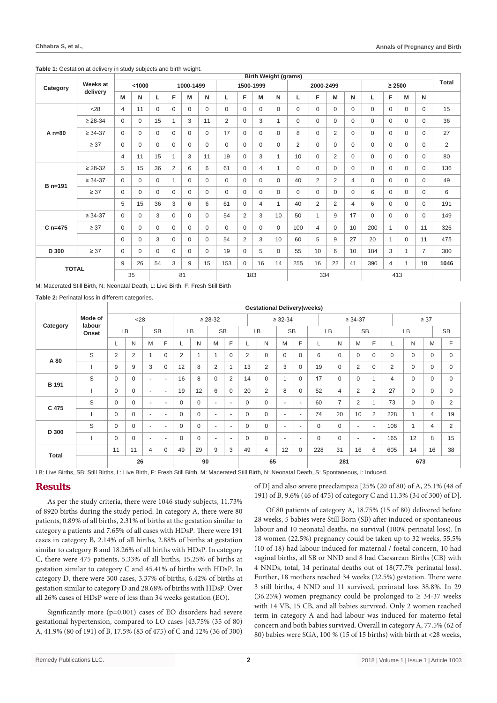| Category     | Weeks at<br>delivery |                |             |          |                |             |             |           |                | <b>Birth Weight (grams)</b> |              |                |                |                |          |             |                |              |                |                |
|--------------|----------------------|----------------|-------------|----------|----------------|-------------|-------------|-----------|----------------|-----------------------------|--------------|----------------|----------------|----------------|----------|-------------|----------------|--------------|----------------|----------------|
|              |                      | < 1000         |             |          | 1000-1499      |             |             | 1500-1999 |                |                             |              | 2000-2499      |                |                |          | $\geq 2500$ |                |              |                | <b>Total</b>   |
|              |                      | M              | N           | L        | F.             | M           | N           | L         | F              | M                           | N            | L              | F              | M              | N        | L           | F              | M            | N              |                |
| $A_n=80$     | 28                   | $\overline{4}$ | 11          | $\Omega$ | $\Omega$       | $\Omega$    | $\Omega$    | $\Omega$  | $\Omega$       | $\Omega$                    | $\Omega$     | $\Omega$       | $\Omega$       | $\Omega$       | $\Omega$ | $\Omega$    | $\Omega$       | $\Omega$     | $\mathbf 0$    | 15             |
|              | $\geq 28 - 34$       | $\Omega$       | $\mathbf 0$ | 15       | $\mathbf{1}$   | 3           | 11          | 2         | $\Omega$       | 3                           | $\mathbf{1}$ | $\Omega$       | $\Omega$       | $\Omega$       | $\Omega$ | $\Omega$    | $\Omega$       | $\Omega$     | $\mathbf 0$    | 36             |
|              | $\geq 34 - 37$       | $\Omega$       | $\mathbf 0$ | $\Omega$ | $\mathbf 0$    | $\mathbf 0$ | $\mathbf 0$ | 17        | $\Omega$       | $\Omega$                    | $\Omega$     | 8              | $\Omega$       | $\overline{2}$ | $\Omega$ | $\mathbf 0$ | $\mathbf 0$    | $\mathbf{0}$ | $\mathbf 0$    | 27             |
|              | $\geq 37$            | $\Omega$       | $\mathbf 0$ | $\Omega$ | $\mathbf 0$    | $\Omega$    | $\mathbf 0$ | $\Omega$  | $\Omega$       | $\Omega$                    | $\Omega$     | $\overline{2}$ | $\Omega$       | $\Omega$       | $\Omega$ | $\mathbf 0$ | $\mathbf 0$    | $\Omega$     | $\mathbf 0$    | $\overline{2}$ |
|              |                      | $\overline{4}$ | 11          | 15       | $\mathbf{1}$   | 3           | 11          | 19        | $\Omega$       | 3                           | $\mathbf{1}$ | 10             | $\Omega$       | $\overline{2}$ | $\Omega$ | $\Omega$    | $\mathbf{0}$   | $\Omega$     | $\mathbf 0$    | 80             |
| B n=191      | $\geq 28 - 32$       | 5              | 15          | 36       | $\overline{2}$ | 6           | 6           | 61        | $\Omega$       | $\overline{4}$              | $\mathbf{1}$ | $\mathbf 0$    | $\Omega$       | $\Omega$       | $\Omega$ | $\Omega$    | $\mathbf{0}$   | $\Omega$     | $\mathbf 0$    | 136            |
|              | $\geq 34 - 37$       | $\Omega$       | $\mathbf 0$ | $\Omega$ | $\mathbf{1}$   | $\mathbf 0$ | $\mathbf 0$ | $\Omega$  | $\Omega$       | $\Omega$                    | $\Omega$     | 40             | 2              | $\overline{2}$ | 4        | $\mathbf 0$ | $\mathbf{0}$   | 0            | $\mathbf 0$    | 49             |
|              | $\geq 37$            | 0              | $\mathbf 0$ | $\Omega$ | $\Omega$       | $\Omega$    | $\mathbf 0$ | $\Omega$  | $\Omega$       | $\Omega$                    | $\Omega$     | $\mathbf 0$    | $\Omega$       | $\Omega$       | $\Omega$ | 6           | $\mathbf 0$    | $\Omega$     | $\mathbf 0$    | 6              |
|              |                      | 5              | 15          | 36       | 3              | 6           | 6           | 61        | $\Omega$       | $\overline{4}$              | $\mathbf{1}$ | 40             | $\overline{2}$ | $\overline{2}$ | 4        | 6           | $\Omega$       | $\Omega$     | $\mathbf 0$    | 191            |
| $C_{n=475}$  | $\geq 34 - 37$       | $\Omega$       | $\Omega$    | 3        | $\Omega$       | $\Omega$    | $\Omega$    | 54        | $\overline{2}$ | 3                           | 10           | 50             | 1              | 9              | 17       | $\Omega$    | $\Omega$       | $\Omega$     | $\mathbf 0$    | 149            |
|              | $\geq 37$            | $\Omega$       | $\mathbf 0$ | $\Omega$ | $\mathbf 0$    | $\Omega$    | $\mathbf 0$ | $\Omega$  | $\Omega$       | $\Omega$                    | $\Omega$     | 100            | $\overline{4}$ | $\mathbf 0$    | 10       | 200         | $\mathbf{1}$   | $\Omega$     | 11             | 326            |
|              |                      | $\Omega$       | $\Omega$    | 3        | $\Omega$       | $\Omega$    | $\Omega$    | 54        | $\overline{2}$ | 3                           | 10           | 60             | 5              | 9              | 27       | 20          | $\mathbf{1}$   | $\Omega$     | 11             | 475            |
| D 300        | $\geq 37$            | $\Omega$       | $\Omega$    | $\Omega$ | $\Omega$       | $\Omega$    | $\Omega$    | 19        | $\Omega$       | 5                           | $\Omega$     | 55             | 10             | 6              | 10       | 184         | 3              | $\mathbf{1}$ | $\overline{7}$ | 300            |
| <b>TOTAL</b> |                      | 9              | 26          | 54       | 3              | 9           | 15          | 153       | $\Omega$       | 16                          | 14           | 255            | 16             | 22             | 41       | 390         | $\overline{4}$ | $\mathbf{1}$ | 18             | 1046           |
|              |                      |                | 35          | 81       |                |             | 183         |           |                |                             |              | 334            |                |                |          |             |                |              |                |                |

#### **Table 1:** Gestation at delivery in study subjects and birth weight.

M: Macerated Still Birth, N: Neonatal Death, L: Live Birth, F: Fresh Still Birth

**Table 2:** Perinatal loss in different categories.

| Category     | Mode of<br>labour<br>Onset |              |                |                          |                          |             |          |                          |                          |          | <b>Gestational Delivery(weeks)</b> |                |                          |          |                |                          |                          |                |              |                |                |
|--------------|----------------------------|--------------|----------------|--------------------------|--------------------------|-------------|----------|--------------------------|--------------------------|----------|------------------------------------|----------------|--------------------------|----------|----------------|--------------------------|--------------------------|----------------|--------------|----------------|----------------|
|              |                            | < 28         |                |                          |                          |             |          | $\geq 28 - 32$           |                          |          |                                    | $\geq 32 - 34$ |                          |          |                | $\geq 34 - 37$           |                          | $\geq 37$      |              |                |                |
|              |                            | LB           |                | <b>SB</b>                |                          | LB          |          | <b>SB</b>                |                          | LB       |                                    | <b>SB</b>      |                          | LB       |                | <b>SB</b>                |                          | <b>LB</b>      |              | <b>SB</b>      |                |
|              |                            | L            | N              | M                        | F                        |             | N        | M                        | F                        | ⊾        | N                                  | M              | F                        |          | N              | M                        | F                        | L              | N            | M              | F              |
| A 80         | S                          | 2            | $\overline{2}$ | 1                        | $\mathbf 0$              | 2           | 1        | $\overline{\phantom{a}}$ | $\mathbf 0$              | 2        | $\mathbf 0$                        | $\Omega$       | $\mathbf 0$              | 6        | $\mathbf 0$    | $\mathbf 0$              | $\mathbf 0$              | 0              | $\mathbf 0$  | $\mathbf 0$    | 0              |
|              |                            | 9            | 9              | 3                        | $\mathbf 0$              | 12          | 8        | 2                        | 1                        | 13       | 2                                  | 3              | $\Omega$                 | 19       | $\mathbf 0$    | $\overline{2}$           | $\Omega$                 | 2              | $\mathbf 0$  | $\mathbf 0$    | 0              |
| <b>B</b> 191 | S                          | $\mathbf 0$  | $\mathbf 0$    | $\overline{\phantom{a}}$ | $\overline{\phantom{a}}$ | 16          | 8        | $\mathbf 0$              | 2                        | 14       | $\mathbf 0$                        | 1              | $\mathbf 0$              | 17       | $\mathbf 0$    | $\mathbf 0$              | 1                        | $\overline{4}$ | $\mathbf 0$  | $\mathbf 0$    | $\mathbf 0$    |
|              |                            | $\Omega$     | $\Omega$       | $\overline{\phantom{a}}$ | $\sim$                   | 19          | 12       | 6                        | $\Omega$                 | 20       | $\overline{2}$                     | 8              | $\Omega$                 | 52       | $\overline{4}$ | 2                        | 2                        | 27             | $\mathbf 0$  | $\mathbf 0$    | 0              |
| C 475        | S                          | $\mathbf 0$  | $\mathbf{0}$   | $\sim$                   | $\sim$                   | $\Omega$    | $\Omega$ | ٠                        | $\sim$                   | $\Omega$ | $\mathbf 0$                        | $\sim$         | $\overline{\phantom{a}}$ | 60       | $\overline{7}$ | $\overline{2}$           |                          | 73             | $\mathbf 0$  | $\mathbf 0$    | $\overline{2}$ |
|              |                            | $\mathbf{0}$ | $\mathbf 0$    | $\overline{\phantom{a}}$ | $\overline{\phantom{a}}$ | $\Omega$    | $\Omega$ | ٠                        | $\overline{\phantom{a}}$ | $\Omega$ | $\Omega$                           | $\sim$         | $\overline{\phantom{a}}$ | 74       | 20             | 10                       | $\overline{2}$           | 228            | 1            | $\overline{4}$ | 19             |
| D 300        | S                          | $\mathbf 0$  | $\mathbf 0$    | $\sim$                   | ٠                        | $\mathbf 0$ | $\Omega$ | ٠                        | $\overline{\phantom{a}}$ | $\Omega$ | $\mathbf 0$                        | $\sim$         | $\overline{\phantom{a}}$ | $\Omega$ | $\mathbf 0$    | $\overline{\phantom{a}}$ | $\overline{\phantom{a}}$ | 106            | $\mathbf{1}$ | $\overline{4}$ | $\overline{2}$ |
|              |                            | $\mathbf 0$  | $\Omega$       | $\overline{\phantom{a}}$ | $\overline{\phantom{a}}$ | $\Omega$    | $\Omega$ | ٠                        | $\sim$                   | $\Omega$ | $\Omega$                           | $\sim$         | $\overline{\phantom{a}}$ | $\Omega$ | $\mathbf 0$    | ٠                        | $\sim$                   | 165            | 12           | 8              | 15             |
| <b>Total</b> |                            | 11           | 11             | $\overline{4}$           | $\Omega$                 | 49          | 29       | 9                        | 3                        | 49       | $\overline{4}$                     | 12             | $\mathbf 0$              | 228      | 31             | 16                       | 6                        | 605            | 14           | 16             | 38             |
|              |                            |              | 26             |                          |                          |             | 90       |                          |                          |          | 65                                 |                |                          |          | 281            |                          |                          | 673            |              |                |                |

LB: Live Births, SB: Still Births, L: Live Birth, F: Fresh Still Birth, M: Macerated Still Birth, N: Neonatal Death, S: Spontaneous, I: Induced.

## **Results**

As per the study criteria, there were 1046 study subjects, 11.73% of 8920 births during the study period. In category A, there were 80 patients, 0.89% of all births, 2.31% of births at the gestation similar to category a patients and 7.65% of all cases with HDsP. There were 191 cases in category B, 2.14% of all births, 2.88% of births at gestation similar to category B and 18.26% of all births with HDsP. In category C, there were 475 patients, 5.33% of all births, 15.25% of births at gestation similar to category C and 45.41% of births with HDsP. In category D, there were 300 cases, 3.37% of births, 6.42% of births at gestation similar to category D and 28.68% of births with HDsP. Over all 26% cases of HDsP were of less than 34 weeks gestation (EO).

Significantly more (p=0.001) cases of EO disorders had severe gestational hypertension, compared to LO cases [43.75% (35 of 80) A, 41.9% (80 of 191) of B, 17.5% (83 of 475) of C and 12% (36 of 300) of D] and also severe preeclampsia [25% (20 of 80) of A, 25.1% (48 of 191) of B, 9.6% (46 of 475) of category C and 11.3% (34 of 300) of D].

Of 80 patients of category A, 18.75% (15 of 80) delivered before 28 weeks, 5 babies were Still Born (SB) after induced or spontaneous labour and 10 neonatal deaths, no survival (100% perinatal loss). In 18 women (22.5%) pregnancy could be taken up to 32 weeks, 55.5% (10 of 18) had labour induced for maternal / foetal concern, 10 had vaginal births, all SB or NND and 8 had Caesarean Births (CB) with 4 NNDs, total, 14 perinatal deaths out of 18(77.7% perinatal loss). Further, 18 mothers reached 34 weeks (22.5%) gestation. There were 3 still births, 4 NND and 11 survived, perinatal loss 38.8%. In 29 (36.25%) women pregnancy could be prolonged to  $\geq$  34-37 weeks with 14 VB, 15 CB, and all babies survived. Only 2 women reached term in category A and had labour was induced for materno-fetal concern and both babies survived. Overall in category A, 77.5% (62 of 80) babies were SGA, 100 % (15 of 15 births) with birth at <28 weeks,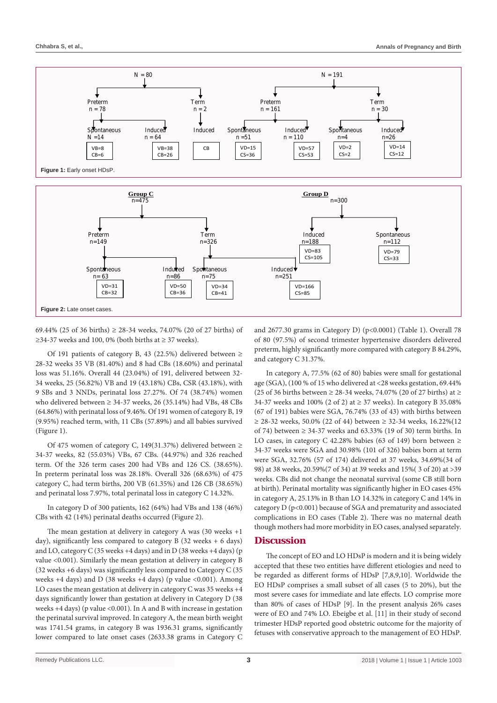

69.44% (25 of 36 births)  $\geq$  28-34 weeks, 74.07% (20 of 27 births) of ≥34-37 weeks and 100, 0% (both births at ≥ 37 weeks).

Of 191 patients of category B, 43 (22.5%) delivered between ≥ 28-32 weeks 35 VB (81.40%) and 8 had CBs (18.60%) and perinatal loss was 51.16%. Overall 44 (23.04%) of 191, delivered between 32- 34 weeks, 25 (56.82%) VB and 19 (43.18%) CBs, CSR (43.18%), with 9 SBs and 3 NNDs, perinatal loss 27.27%. Of 74 (38.74%) women who delivered between  $\geq$  34-37 weeks, 26 (35.14%) had VBs, 48 CBs (64.86%) with perinatal loss of 9.46%. Of 191 women of category B, 19 (9.95%) reached term, with, 11 CBs (57.89%) and all babies survived (Figure 1).

Of 475 women of category C, 149(31.37%) delivered between ≥ 34-37 weeks, 82 (55.03%) VBs, 67 CBs. (44.97%) and 326 reached term. Of the 326 term cases 200 had VBs and 126 CS. (38.65%). In preterm perinatal loss was 28.18%. Overall 326 (68.63%) of 475 category C, had term births, 200 VB (61.35%) and 126 CB (38.65%) and perinatal loss 7.97%, total perinatal loss in category C 14.32%.

In category D of 300 patients, 162 (64%) had VBs and 138 (46%) CBs with 42 (14%) perinatal deaths occurred (Figure 2).

The mean gestation at delivery in category A was (30 weeks +1 day), significantly less compared to category B  $(32 \text{ weeks} + 6 \text{ days})$ and LO, category C (35 weeks +4 days) and in D (38 weeks +4 days) (p value <0.001). Similarly the mean gestation at delivery in category B (32 weeks +6 days) was significantly less compared to Category C (35 weeks +4 days) and D (38 weeks +4 days) (p value <0.001). Among LO cases the mean gestation at delivery in category C was 35 weeks +4 days significantly lower than gestation at delivery in Category D (38 weeks  $+4$  days) (p value <0.001). In A and B with increase in gestation the perinatal survival improved. In category A, the mean birth weight was 1741.54 grams, in category B was 1936.31 grams, significantly lower compared to late onset cases (2633.38 grams in Category C

and 2677.30 grams in Category D) (p<0.0001) (Table 1). Overall 78 of 80 (97.5%) of second trimester hypertensive disorders delivered preterm, highly significantly more compared with category B 84.29%, and category C 31.37%.

In category A, 77.5% (62 of 80) babies were small for gestational age (SGA), (100 % of 15 who delivered at <28 weeks gestation, 69.44% (25 of 36 births between  $\geq$  28-34 weeks, 74.07% (20 of 27 births) at  $\geq$ 34-37 weeks and 100% (2 of 2) at ≥ 37 weeks). In category B 35.08% (67 of 191) babies were SGA, 76.74% (33 of 43) with births between ≥ 28-32 weeks, 50.0% (22 of 44) between ≥ 32-34 weeks, 16.22%(12 of 74) between  $\geq$  34-37 weeks and 63.33% (19 of 30) term births. In LO cases, in category C 42.28% babies (63 of 149) born between  $\geq$ 34-37 weeks were SGA and 30.98% (101 of 326) babies born at term were SGA, 32.76% (57 of 174) delivered at 37 weeks, 34.69%(34 of 98) at 38 weeks, 20.59%(7 of 34) at 39 weeks and 15%( 3 of 20) at >39 weeks. CBs did not change the neonatal survival (some CB still born at birth). Perinatal mortality was significantly higher in EO cases 45% in category A, 25.13% in B than LO 14.32% in category C and 14% in category D (p<0.001) because of SGA and prematurity and associated complications in EO cases (Table 2). There was no maternal death though mothers had more morbidity in EO cases, analysed separately.

## **Discussion**

The concept of EO and LO HDsP is modern and it is being widely accepted that these two entities have different etiologies and need to be regarded as different forms of HDsP [7,8,9,10]. Worldwide the EO HDsP comprises a small subset of all cases (5 to 20%), but the most severe cases for immediate and late effects. LO comprise more than 80% of cases of HDsP [9]. In the present analysis 26% cases were of EO and 74% LO. Ebeigbe et al. [11] in their study of second trimester HDsP reported good obstetric outcome for the majority of fetuses with conservative approach to the management of EO HDsP.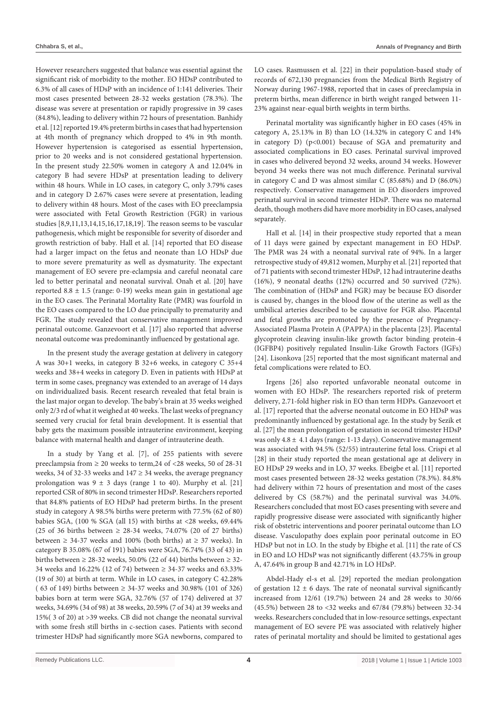However researchers suggested that balance was essential against the significant risk of morbidity to the mother. EO HDsP contributed to 6.3% of all cases of HDsP with an incidence of 1:141 deliveries. Their most cases presented between 28-32 weeks gestation (78.3%). The disease was severe at presentation or rapidly progressive in 39 cases (84.8%), leading to delivery within 72 hours of presentation. Banhidy et al. [12] reported 19.4% preterm births in cases that had hypertension at 4th month of pregnancy which dropped to 4% in 9th month. However hypertension is categorised as essential hypertension, prior to 20 weeks and is not considered gestational hypertension. In the present study 22.50% women in category A and 12.04% in category B had severe HDsP at presentation leading to delivery within 48 hours. While in LO cases, in category C, only 3.79% cases and in category D 2.67% cases were severe at presentation, leading to delivery within 48 hours. Most of the cases with EO preeclampsia were associated with Fetal Growth Restriction (FGR) in various studies [8,9,11,13,14,15,16,17,18,19]. The reason seems to be vascular pathogenesis, which might be responsible for severity of disorder and growth restriction of baby. Hall et al. [14] reported that EO disease had a larger impact on the fetus and neonate than LO HDsP due to more severe prematurity as well as dysmaturity. The expectant management of EO severe pre-eclampsia and careful neonatal care led to better perinatal and neonatal survival. Onah et al. [20] have reported  $8.8 \pm 1.5$  (range: 0-19) weeks mean gain in gestational age in the EO cases. The Perinatal Mortality Rate (PMR) was fourfold in the EO cases compared to the LO due principally to prematurity and FGR. The study revealed that conservative management improved perinatal outcome. Ganzevoort et al. [17] also reported that adverse neonatal outcome was predominantly influenced by gestational age.

In the present study the average gestation at delivery in category A was 30+1 weeks, in category B 32+6 weeks, in category C 35+4 weeks and 38+4 weeks in category D. Even in patients with HDsP at term in some cases, pregnancy was extended to an average of 14 days on individualized basis. Recent research revealed that fetal brain is the last major organ to develop. The baby's brain at 35 weeks weighed only 2/3 rd of what it weighed at 40 weeks. The last weeks of pregnancy seemed very crucial for fetal brain development. It is essential that baby gets the maximum possible intrauterine environment, keeping balance with maternal health and danger of intrauterine death.

In a study by Yang et al. [7], of 255 patients with severe preeclampsia from  $\geq 20$  weeks to term, 24 of <28 weeks, 50 of 28-31 weeks, 34 of 32-33 weeks and  $147 \ge 34$  weeks, the average pregnancy prolongation was  $9 \pm 3$  days (range 1 to 40). Murphy et al. [21] reported CSR of 80% in second trimester HDsP. Researchers reported that 84.8% patients of EO HDsP had preterm births. In the present study in category A 98.5% births were preterm with 77.5% (62 of 80) babies SGA, (100 % SGA (all 15) with births at <28 weeks, 69.44% (25 of 36 births between  $\geq$  28-34 weeks, 74.07% (20 of 27 births) between  $\geq$  34-37 weeks and 100% (both births) at  $\geq$  37 weeks). In category B 35.08% (67 of 191) babies were SGA, 76.74% (33 of 43) in births between  $\geq$  28-32 weeks, 50.0% (22 of 44) births between  $\geq$  32-34 weeks and 16.22% (12 of 74) between ≥ 34-37 weeks and 63.33% (19 of 30) at birth at term. While in LO cases, in category C 42.28% ( 63 of 149) births between ≥ 34-37 weeks and 30.98% (101 of 326) babies born at term were SGA, 32.76% (57 of 174) delivered at 37 weeks, 34.69% (34 of 98) at 38 weeks, 20.59% (7 of 34) at 39 weeks and 15%( 3 of 20) at >39 weeks. CB did not change the neonatal survival with some fresh still births in c-section cases. Patients with second trimester HDsP had significantly more SGA newborns, compared to LO cases. Rasmussen et al. [22] in their population-based study of records of 672,130 pregnancies from the Medical Birth Registry of Norway during 1967-1988, reported that in cases of preeclampsia in preterm births, mean difference in birth weight ranged between 11- 23% against near-equal birth weights in term births.

Perinatal mortality was significantly higher in EO cases (45% in category A, 25.13% in B) than LO (14.32% in category C and 14% in category D) (p<0.001) because of SGA and prematurity and associated complications in EO cases. Perinatal survival improved in cases who delivered beyond 32 weeks, around 34 weeks. However beyond 34 weeks there was not much difference. Perinatal survival in category C and D was almost similar C (85.68%) and D (86.0%) respectively. Conservative management in EO disorders improved perinatal survival in second trimester HDsP. There was no maternal death, though mothers did have more morbidity in EO cases, analysed separately.

Hall et al. [14] in their prospective study reported that a mean of 11 days were gained by expectant management in EO HDsP. The PMR was 24 with a neonatal survival rate of 94%. In a larger retrospective study of 49,812 women, Murphy et al. [21] reported that of 71 patients with second trimester HDsP, 12 had intrauterine deaths (16%), 9 neonatal deaths (12%) occurred and 50 survived (72%). The combination of (HDsP and FGR) may be because EO disorder is caused by, changes in the blood flow of the uterine as well as the umbilical arteries described to be causative for FGR also. Placental and fetal growths are promoted by the presence of Pregnancy-Associated Plasma Protein A (PAPPA) in the placenta [23]. Placental glycoprotein cleaving insulin-like growth factor binding protein-4 (IGFBP4) positively regulated Insulin-Like Growth Factors (IGFs) [24]. Lisonkova [25] reported that the most significant maternal and fetal complications were related to EO.

Irgens [26] also reported unfavorable neonatal outcome in women with EO HDsP. The researchers reported risk of preterm delivery, 2.71-fold higher risk in EO than term HDPs. Ganzevoort et al. [17] reported that the adverse neonatal outcome in EO HDsP was predominantly influenced by gestational age. In the study by Sezik et al. [27] the mean prolongation of gestation in second trimester HDsP was only  $4.8 \pm 4.1$  days (range: 1-13 days). Conservative management was associated with 94.5% (52/55) intrauterine fetal loss. Crispi et al [28] in their study reported the mean gestational age at delivery in EO HDsP 29 weeks and in LO, 37 weeks. Ebeigbe et al. [11] reported most cases presented between 28-32 weeks gestation (78.3%). 84.8% had delivery within 72 hours of presentation and most of the cases delivered by CS (58.7%) and the perinatal survival was 34.0%. Researchers concluded that most EO cases presenting with severe and rapidly progressive disease were associated with significantly higher risk of obstetric interventions and poorer perinatal outcome than LO disease. Vasculopathy does explain poor perinatal outcome in EO HDsP but not in LO. In the study by Ebighe et al. [11] the rate of CS in EO and LO HDsP was not significantly different (43.75% in group A, 47.64% in group B and 42.71% in LO HDsP.

Abdel-Hady el-s et al. [29] reported the median prolongation of gestation  $12 \pm 6$  days. The rate of neonatal survival significantly increased from 12/61 (19.7%) between 24 and 28 weeks to 30/66 (45.5%) between 28 to <32 weeks and 67/84 (79.8%) between 32-34 weeks. Researchers concluded that in low-resource settings, expectant management of EO severe PE was associated with relatively higher rates of perinatal mortality and should be limited to gestational ages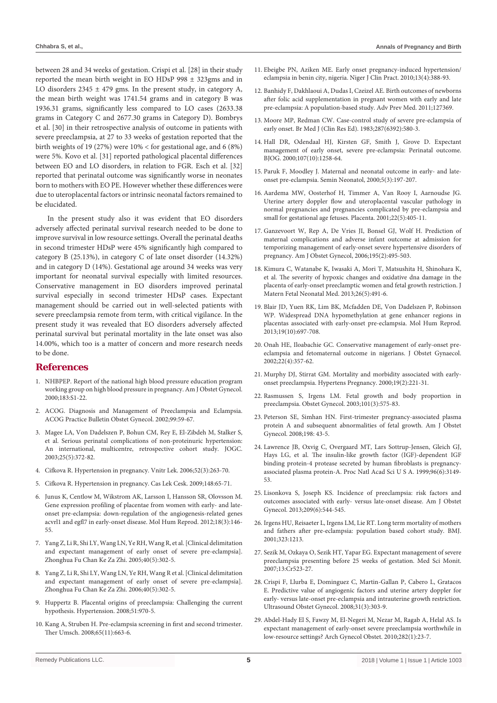between 28 and 34 weeks of gestation. Crispi et al. [28] in their study reported the mean birth weight in EO HDsP 998 ± 323gms and in LO disorders  $2345 \pm 479$  gms. In the present study, in category A, the mean birth weight was 1741.54 grams and in category B was 1936.31 grams, significantly less compared to LO cases (2633.38 grams in Category C and 2677.30 grams in Category D). Bombrys et al. [30] in their retrospective analysis of outcome in patients with severe preeclampsia, at 27 to 33 weeks of gestation reported that the birth weights of 19 (27%) were 10% < for gestational age, and 6 (8%) were 5%. Kovo et al. [31] reported pathological placental differences between EO and LO disorders, in relation to FGR. Esch et al. [32] reported that perinatal outcome was significantly worse in neonates born to mothers with EO PE. However whether these differences were due to uteroplacental factors or intrinsic neonatal factors remained to be elucidated.

In the present study also it was evident that EO disorders adversely affected perinatal survival research needed to be done to improve survival in low resource settings. Overall the perinatal deaths in second trimester HDsP were 45% significantly high compared to category B (25.13%), in category C of late onset disorder (14.32%) and in category D (14%). Gestational age around 34 weeks was very important for neonatal survival especially with limited resources. Conservative management in EO disorders improved perinatal survival especially in second trimester HDsP cases. Expectant management should be carried out in well-selected patients with severe preeclampsia remote from term, with critical vigilance. In the present study it was revealed that EO disorders adversely affected perinatal survival but perinatal mortality in the late onset was also 14.00%, which too is a matter of concern and more research needs to be done.

#### **References**

- 1. [NHBPEP. Report of the national high blood pressure education program](https://www.ncbi.nlm.nih.gov/pubmed/10920346)  [working group on high blood pressure in pregnancy. Am J Obstet Gynecol.](https://www.ncbi.nlm.nih.gov/pubmed/10920346)  [2000;183:S1-22.](https://www.ncbi.nlm.nih.gov/pubmed/10920346)
- 2. ACOG. Diagnosis and Management of Preeclampsia and Eclampsia. ACOG Practice Bulletin Obstet Gynecol. 2002;99:59-67.
- 3. [Magee LA, Von Dadelszen P, Bohun CM, Rey E, El-Zibdeh M, Stalker S,](https://www.jogc.com/article/S1701-2163(16)30579-5/fulltext)  [et al. Serious perinatal complications of non-proteinuric hypertension:](https://www.jogc.com/article/S1701-2163(16)30579-5/fulltext)  [An international, multicentre, retrospective cohort study. JOGC.](https://www.jogc.com/article/S1701-2163(16)30579-5/fulltext)  [2003;25\(5\):372-82.](https://www.jogc.com/article/S1701-2163(16)30579-5/fulltext)
- 4. [Cifkova R. Hypertension in pregnancy. Vnitr Lek. 2006;52\(3\):263-70.](https://www.ncbi.nlm.nih.gov/pubmed/16722158)
- 5. [Cifkova R. Hypertension in pregnancy. Cas Lek Cesk. 2009;148:65-71.](https://www.ncbi.nlm.nih.gov/pubmed/19637440)
- 6. [Junus K, Centlow M, Wikstrom AK, Larsson I, Hansson SR, Olovsson M.](https://www.ncbi.nlm.nih.gov/pubmed/22013081)  [Gene expression profiling of placentae from women with early- and late](https://www.ncbi.nlm.nih.gov/pubmed/22013081)[onset pre-eclampsia: down-regulation of the angiogenesis-related genes](https://www.ncbi.nlm.nih.gov/pubmed/22013081)  [acvrl1 and egfl7 in early-onset disease. Mol Hum Reprod. 2012;18\(3\):146-](https://www.ncbi.nlm.nih.gov/pubmed/22013081) [55.](https://www.ncbi.nlm.nih.gov/pubmed/22013081)
- 7. [Yang Z, Li R, Shi LY, Wang LN, Ye RH, Wang R, et al. \[Clinical delimitation](https://www.ncbi.nlm.nih.gov/pubmed/15938777)  [and expectant management of early onset of severe pre-eclampsia\].](https://www.ncbi.nlm.nih.gov/pubmed/15938777)  [Zhonghua Fu Chan Ke Za Zhi. 2005;40\(5\):302-5.](https://www.ncbi.nlm.nih.gov/pubmed/15938777)
- 8. [Yang Z, Li R, Shi LY, Wang LN, Ye RH, Wang R et al. \[Clinical delimitation](https://www.ncbi.nlm.nih.gov/pubmed/15938777)  [and expectant management of early onset of severe pre-eclampsia\].](https://www.ncbi.nlm.nih.gov/pubmed/15938777)  [Zhonghua Fu Chan Ke Za Zhi. 2006;40\(5\):302-5.](https://www.ncbi.nlm.nih.gov/pubmed/15938777)
- 9. [Huppertz B. Placental origins of preeclampsia: Challenging the current](https://www.ncbi.nlm.nih.gov/pubmed/18259009)  [hypothesis. Hypertension. 2008;51:970-5.](https://www.ncbi.nlm.nih.gov/pubmed/18259009)
- 10. [Kang A, Struben H. Pre-eclampsia screening in first and second trimester.](https://www.ncbi.nlm.nih.gov/pubmed/18979429)  [Ther Umsch. 2008;65\(11\):663-6.](https://www.ncbi.nlm.nih.gov/pubmed/18979429)
- 11. [Ebeigbe PN, Aziken ME. Early onset pregnancy-induced hypertension/](https://www.ncbi.nlm.nih.gov/pubmed/21220851) [eclampsia in benin city, nigeria. Niger J Clin Pract. 2010;13\(4\):388-93.](https://www.ncbi.nlm.nih.gov/pubmed/21220851)
- 12. [Banhidy F, Dakhlaoui A, Dudas I, Czeizel AE. Birth outcomes of newborns](https://www.ncbi.nlm.nih.gov/pubmed/21991429)  [after folic acid supplementation in pregnant women with early and late](https://www.ncbi.nlm.nih.gov/pubmed/21991429)  [pre-eclampsia: A population-based study. Adv Prev Med. 2011;127369.](https://www.ncbi.nlm.nih.gov/pubmed/21991429)
- 13. [Moore MP, Redman CW. Case-control study of severe pre-eclampsia of](https://www.ncbi.nlm.nih.gov/pubmed/6411232)  [early onset. Br Med J \(Clin Res Ed\). 1983;287\(6392\):580-3.](https://www.ncbi.nlm.nih.gov/pubmed/6411232)
- 14. [Hall DR, Odendaal HJ, Kirsten GF, Smith J, Grove D. Expectant](https://www.ncbi.nlm.nih.gov/pubmed/11028578)  [management of early onset, severe pre-eclampsia: Perinatal outcome.](https://www.ncbi.nlm.nih.gov/pubmed/11028578)  [BJOG. 2000;107\(10\):1258-64.](https://www.ncbi.nlm.nih.gov/pubmed/11028578)
- 15. [Paruk F, Moodley J. Maternal and neonatal outcome in early- and late](https://www.ncbi.nlm.nih.gov/pubmed/10956445)[onset pre-eclampsia. Semin Neonatol, 2000;5\(3\):197-207.](https://www.ncbi.nlm.nih.gov/pubmed/10956445)
- 16. [Aardema MW, Oosterhof H, Timmer A, Van Rooy I, Aarnoudse JG.](https://www.ncbi.nlm.nih.gov/pubmed/11373150)  [Uterine artery doppler flow and uteroplacental vascular pathology in](https://www.ncbi.nlm.nih.gov/pubmed/11373150)  [normal pregnancies and pregnancies complicated by pre-eclampsia and](https://www.ncbi.nlm.nih.gov/pubmed/11373150)  [small for gestational age fetuses. Placenta. 2001;22\(5\):405-11.](https://www.ncbi.nlm.nih.gov/pubmed/11373150)
- 17. [Ganzevoort W, Rep A, De Vries JI, Bonsel GJ, Wolf H. Prediction of](https://www.ncbi.nlm.nih.gov/pubmed/16643825)  [maternal complications and adverse infant outcome at admission for](https://www.ncbi.nlm.nih.gov/pubmed/16643825)  [temporizing management of early-onset severe hypertensive disorders of](https://www.ncbi.nlm.nih.gov/pubmed/16643825)  [pregnancy. Am J Obstet Gynecol, 2006;195\(2\):495-503.](https://www.ncbi.nlm.nih.gov/pubmed/16643825)
- 18. [Kimura C, Watanabe K, Iwasaki A, Mori T, Matsushita H, Shinohara K,](https://www.ncbi.nlm.nih.gov/pubmed/23035823)  [et al. The severity of hypoxic changes and oxidative dna damage in the](https://www.ncbi.nlm.nih.gov/pubmed/23035823)  [placenta of early-onset preeclamptic women and fetal growth restriction. J](https://www.ncbi.nlm.nih.gov/pubmed/23035823)  [Matern Fetal Neonatal Med. 2013;26\(5\):491-6.](https://www.ncbi.nlm.nih.gov/pubmed/23035823)
- 19. [Blair JD, Yuen RK, Lim BK, Mcfadden DE, Von Dadelszen P, Robinson](https://www.ncbi.nlm.nih.gov/pubmed/23770704)  [WP. Widespread DNA hypomethylation at gene enhancer regions in](https://www.ncbi.nlm.nih.gov/pubmed/23770704)  [placentas associated with early-onset pre-eclampsia. Mol Hum Reprod.](https://www.ncbi.nlm.nih.gov/pubmed/23770704)  [2013;19\(10\):697-708.](https://www.ncbi.nlm.nih.gov/pubmed/23770704)
- 20. [Onah HE, Iloabachie GC. Conservative management of early-onset pre](https://www.ncbi.nlm.nih.gov/pubmed/12521453)[eclampsia and fetomaternal outcome in nigerians. J Obstet Gynaecol.](https://www.ncbi.nlm.nih.gov/pubmed/12521453)  [2002;22\(4\):357-62.](https://www.ncbi.nlm.nih.gov/pubmed/12521453)
- 21. [Murphy DJ, Stirrat GM. Mortality and morbidity associated with early](https://www.ncbi.nlm.nih.gov/pubmed/10877990)[onset preeclampsia. Hypertens Pregnancy. 2000;19\(2\):221-31.](https://www.ncbi.nlm.nih.gov/pubmed/10877990)
- 22. [Rasmussen S, Irgens LM. Fetal growth and body proportion in](https://www.ncbi.nlm.nih.gov/pubmed/12636965)  [preeclampsia. Obstet Gynecol. 2003;101\(3\):575-83.](https://www.ncbi.nlm.nih.gov/pubmed/12636965)
- 23. [Peterson SE, Simhan HN. First-trimester pregnancy-associated plasma](https://www.ncbi.nlm.nih.gov/pubmed/18295168)  [protein A and subsequent abnormalities of fetal growth. Am J Obstet](https://www.ncbi.nlm.nih.gov/pubmed/18295168)  [Gynecol. 2008;198: 43-5.](https://www.ncbi.nlm.nih.gov/pubmed/18295168)
- 24. [Lawrence JB, Oxvig C, Overgaard MT, Lars Sottrup-Jensen, Gleich GJ,](https://www.ncbi.nlm.nih.gov/pmc/articles/PMC15910/)  [Hays LG, et al. The insulin-like growth factor \(IGF\)-dependent IGF](https://www.ncbi.nlm.nih.gov/pmc/articles/PMC15910/)  [binding protein-4 protease secreted by human fibroblasts is pregnancy](https://www.ncbi.nlm.nih.gov/pmc/articles/PMC15910/)[associated plasma protein-A. Proc Natl Acad Sci U S A. 1999;96\(6\):3149-](https://www.ncbi.nlm.nih.gov/pmc/articles/PMC15910/) [53.](https://www.ncbi.nlm.nih.gov/pmc/articles/PMC15910/)
- 25. [Lisonkova S, Joseph KS. Incidence of preeclampsia: risk factors and](https://www.ajog.org/article/S0002-9378(13)00859-4/abstract)  [outcomes associated with early- versus late-onset disease. Am J Obstet](https://www.ajog.org/article/S0002-9378(13)00859-4/abstract)  [Gynecol. 2013;209\(6\):544-545.](https://www.ajog.org/article/S0002-9378(13)00859-4/abstract)
- 26. [Irgens HU, Reisaeter L, Irgens LM, Lie RT. Long term mortality of mothers](https://www.bmj.com/content/323/7323/1213)  [and fathers after pre-eclampsia: population based cohort study. BMJ.](https://www.bmj.com/content/323/7323/1213)  [2001;323:1213.](https://www.bmj.com/content/323/7323/1213)
- 27. [Sezik M, Ozkaya O, Sezik HT, Yapar EG. Expectant management of severe](https://www.ncbi.nlm.nih.gov/pubmed/17968301)  [preeclampsia presenting before 25 weeks of gestation. Med Sci Monit.](https://www.ncbi.nlm.nih.gov/pubmed/17968301)  [2007;13:Cr523-27.](https://www.ncbi.nlm.nih.gov/pubmed/17968301)
- 28. [Crispi F, Llurba E, Dominguez C, Martin-Gallan P, Cabero L, Gratacos](https://www.ncbi.nlm.nih.gov/pubmed/18058842)  [E. Predictive value of angiogenic factors and uterine artery doppler for](https://www.ncbi.nlm.nih.gov/pubmed/18058842)  [early- versus late-onset pre-eclampsia and intrauterine growth restriction.](https://www.ncbi.nlm.nih.gov/pubmed/18058842)  [Ultrasound Obstet Gynecol. 2008;31\(3\):303-9.](https://www.ncbi.nlm.nih.gov/pubmed/18058842)
- 29. [Abdel-Hady El S, Fawzy M, El-Negeri M, Nezar M, Ragab A, Helal AS. Is](https://www.ncbi.nlm.nih.gov/pubmed/19693521)  [expectant management of early-onset severe preeclampsia worthwhile in](https://www.ncbi.nlm.nih.gov/pubmed/19693521)  [low-resource settings? Arch Gynecol Obstet. 2010;282\(1\):23-7.](https://www.ncbi.nlm.nih.gov/pubmed/19693521)